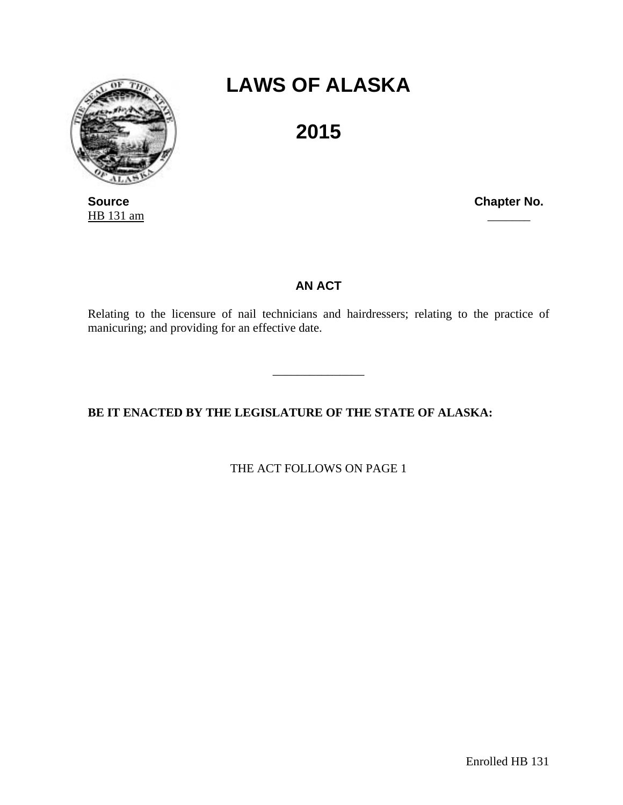

HB 131 am

## **LAWS OF ALASKA**

**2015** 

**Source Chapter No. Chapter No. Chapter No.** 

## **AN ACT**

Relating to the licensure of nail technicians and hairdressers; relating to the practice of manicuring; and providing for an effective date.

\_\_\_\_\_\_\_\_\_\_\_\_\_\_\_

**BE IT ENACTED BY THE LEGISLATURE OF THE STATE OF ALASKA:** 

THE ACT FOLLOWS ON PAGE 1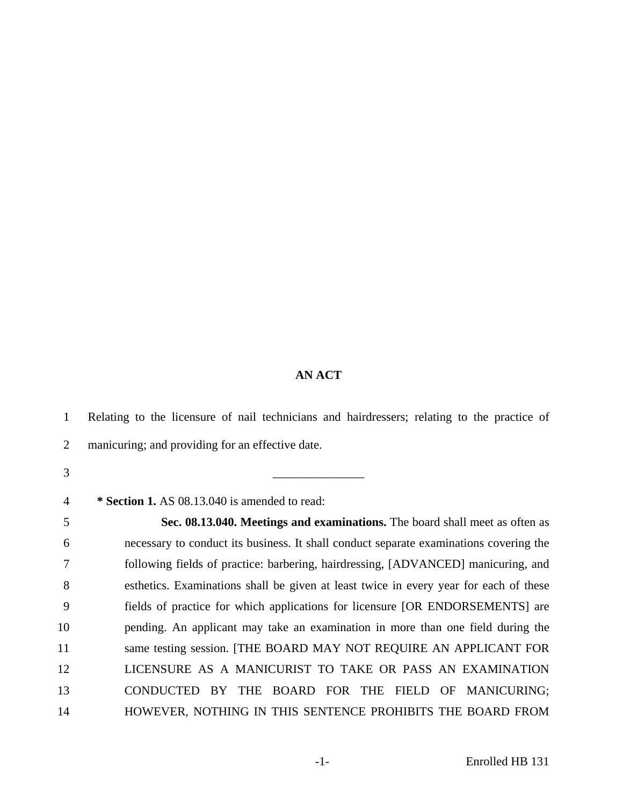## **AN ACT**

1 Relating to the licensure of nail technicians and hairdressers; relating to the practice of 2 manicuring; and providing for an effective date. 3 \_\_\_\_\_\_\_\_\_\_\_\_\_\_\_ 4 **\* Section 1.** AS 08.13.040 is amended to read: 5 **Sec. 08.13.040. Meetings and examinations.** The board shall meet as often as 6 necessary to conduct its business. It shall conduct separate examinations covering the 7 following fields of practice: barbering, hairdressing, [ADVANCED] manicuring, and 8 esthetics. Examinations shall be given at least twice in every year for each of these 9 fields of practice for which applications for licensure [OR ENDORSEMENTS] are 10 pending. An applicant may take an examination in more than one field during the 11 same testing session. [THE BOARD MAY NOT REQUIRE AN APPLICANT FOR 12 LICENSURE AS A MANICURIST TO TAKE OR PASS AN EXAMINATION 13 CONDUCTED BY THE BOARD FOR THE FIELD OF MANICURING; 14 HOWEVER, NOTHING IN THIS SENTENCE PROHIBITS THE BOARD FROM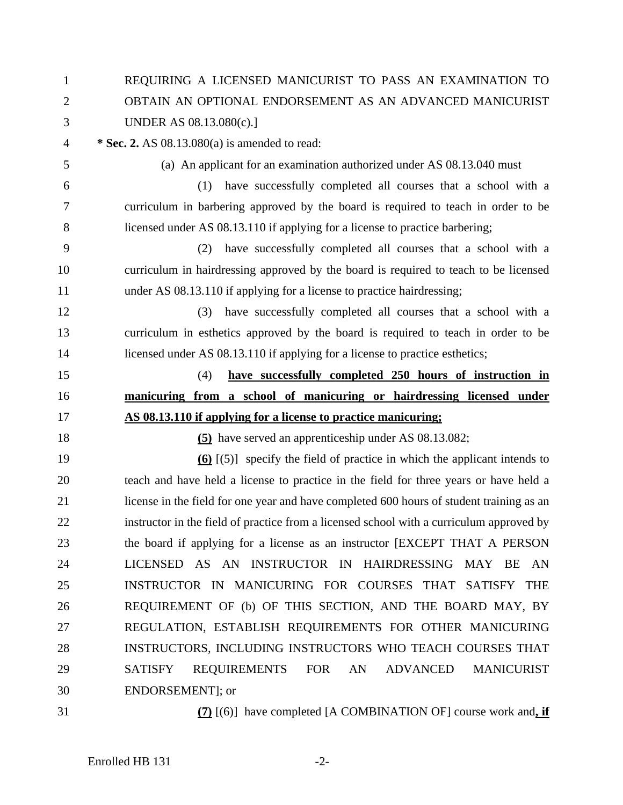| $\mathbf{1}$   | REQUIRING A LICENSED MANICURIST TO PASS AN EXAMINATION TO                                |  |
|----------------|------------------------------------------------------------------------------------------|--|
| $\overline{2}$ | OBTAIN AN OPTIONAL ENDORSEMENT AS AN ADVANCED MANICURIST                                 |  |
| 3              | UNDER AS 08.13.080(c).]                                                                  |  |
| $\overline{4}$ | * Sec. 2. AS 08.13.080(a) is amended to read:                                            |  |
| 5              | (a) An applicant for an examination authorized under AS 08.13.040 must                   |  |
| 6              | have successfully completed all courses that a school with a<br>(1)                      |  |
| $\tau$         | curriculum in barbering approved by the board is required to teach in order to be        |  |
| 8              | licensed under AS 08.13.110 if applying for a license to practice barbering;             |  |
| 9              | have successfully completed all courses that a school with a<br>(2)                      |  |
| 10             | curriculum in hairdressing approved by the board is required to teach to be licensed     |  |
| 11             | under AS 08.13.110 if applying for a license to practice hairdressing;                   |  |
| 12             | have successfully completed all courses that a school with a<br>(3)                      |  |
| 13             | curriculum in esthetics approved by the board is required to teach in order to be        |  |
| 14             | licensed under AS 08.13.110 if applying for a license to practice esthetics;             |  |
| 15             | have successfully completed 250 hours of instruction in<br>(4)                           |  |
| 16             | manicuring from a school of manicuring or hairdressing licensed under                    |  |
| 17             | AS 08.13.110 if applying for a license to practice manicuring;                           |  |
| 18             | (5) have served an apprentice ship under AS 08.13.082;                                   |  |
| 19             | $\overline{60}$ [(5)] specify the field of practice in which the applicant intends to    |  |
| 20             | teach and have held a license to practice in the field for three years or have held a    |  |
| 21             | license in the field for one year and have completed 600 hours of student training as an |  |
| 22             | instructor in the field of practice from a licensed school with a curriculum approved by |  |
| 23             | the board if applying for a license as an instructor [EXCEPT THAT A PERSON               |  |
| 24             | LICENSED AS AN INSTRUCTOR IN HAIRDRESSING MAY BE<br>AN                                   |  |
| 25             | INSTRUCTOR IN MANICURING FOR COURSES THAT SATISFY THE                                    |  |
| 26             | REQUIREMENT OF (b) OF THIS SECTION, AND THE BOARD MAY, BY                                |  |
| 27             | REGULATION, ESTABLISH REQUIREMENTS FOR OTHER MANICURING                                  |  |
| 28             | INSTRUCTORS, INCLUDING INSTRUCTORS WHO TEACH COURSES THAT                                |  |
|                |                                                                                          |  |
| 29             | REQUIREMENTS<br><b>FOR</b><br><b>SATISFY</b><br>AN<br>ADVANCED<br><b>MANICURIST</b>      |  |
| 30             | ENDORSEMENT]; or                                                                         |  |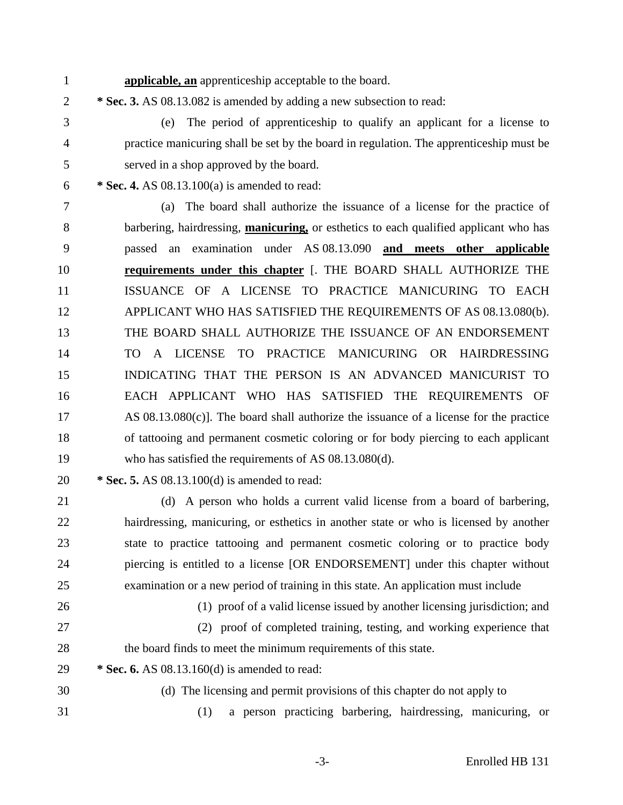1 **applicable, an** apprenticeship acceptable to the board.

2 **\* Sec. 3.** AS 08.13.082 is amended by adding a new subsection to read:

3 (e) The period of apprenticeship to qualify an applicant for a license to 4 practice manicuring shall be set by the board in regulation. The apprenticeship must be 5 served in a shop approved by the board.

6 **\* Sec. 4.** AS 08.13.100(a) is amended to read:

7 (a) The board shall authorize the issuance of a license for the practice of 8 barbering, hairdressing, **manicuring,** or esthetics to each qualified applicant who has 9 passed an examination under AS 08.13.090 **and meets other applicable**  10 **requirements under this chapter** [. THE BOARD SHALL AUTHORIZE THE 11 ISSUANCE OF A LICENSE TO PRACTICE MANICURING TO EACH 12 APPLICANT WHO HAS SATISFIED THE REQUIREMENTS OF AS 08.13.080(b). 13 THE BOARD SHALL AUTHORIZE THE ISSUANCE OF AN ENDORSEMENT 14 TO A LICENSE TO PRACTICE MANICURING OR HAIRDRESSING 15 INDICATING THAT THE PERSON IS AN ADVANCED MANICURIST TO 16 EACH APPLICANT WHO HAS SATISFIED THE REQUIREMENTS OF 17 AS 08.13.080(c)]. The board shall authorize the issuance of a license for the practice 18 of tattooing and permanent cosmetic coloring or for body piercing to each applicant 19 who has satisfied the requirements of AS 08.13.080(d).

20 **\* Sec. 5.** AS 08.13.100(d) is amended to read:

21 (d) A person who holds a current valid license from a board of barbering, 22 hairdressing, manicuring, or esthetics in another state or who is licensed by another 23 state to practice tattooing and permanent cosmetic coloring or to practice body 24 piercing is entitled to a license [OR ENDORSEMENT] under this chapter without 25 examination or a new period of training in this state. An application must include

26 (1) proof of a valid license issued by another licensing jurisdiction; and

27 (2) proof of completed training, testing, and working experience that 28 the board finds to meet the minimum requirements of this state.

29 **\* Sec. 6.** AS 08.13.160(d) is amended to read:

30 (d) The licensing and permit provisions of this chapter do not apply to

31 (1) a person practicing barbering, hairdressing, manicuring, or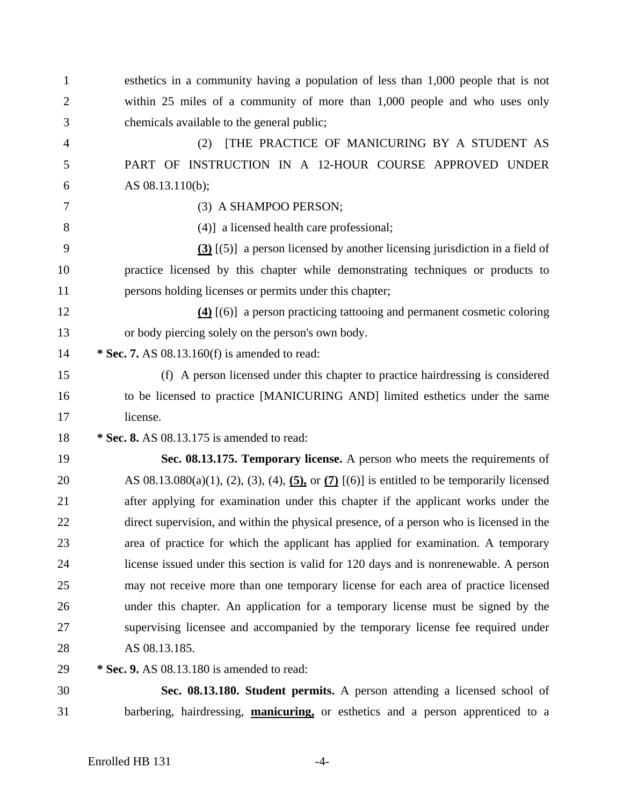| $\mathbf{1}$   | esthetics in a community having a population of less than 1,000 people that is not                             |
|----------------|----------------------------------------------------------------------------------------------------------------|
| $\overline{2}$ | within 25 miles of a community of more than 1,000 people and who uses only                                     |
| 3              | chemicals available to the general public;                                                                     |
| 4              | THE PRACTICE OF MANICURING BY A STUDENT AS<br>(2)                                                              |
| 5              | PART OF INSTRUCTION IN A 12-HOUR COURSE APPROVED UNDER                                                         |
| 6              | AS 08.13.110(b);                                                                                               |
| 7              | (3) A SHAMPOO PERSON;                                                                                          |
| 8              | (4)] a licensed health care professional;                                                                      |
| 9              | $(3)$ [(5)] a person licensed by another licensing jurisdiction in a field of                                  |
| 10             | practice licensed by this chapter while demonstrating techniques or products to                                |
| 11             | persons holding licenses or permits under this chapter;                                                        |
| 12             | $(4)$ [(6)] a person practicing tattooing and permanent cosmetic coloring                                      |
| 13             | or body piercing solely on the person's own body.                                                              |
| 14             | * Sec. 7. AS $08.13.160(f)$ is amended to read:                                                                |
| 15             | (f) A person licensed under this chapter to practice hairdressing is considered                                |
| 16             | to be licensed to practice [MANICURING AND] limited esthetics under the same                                   |
| 17             | license.                                                                                                       |
| 18             | * Sec. 8. AS 08.13.175 is amended to read:                                                                     |
| 19             | Sec. 08.13.175. Temporary license. A person who meets the requirements of                                      |
| 20             | AS $08.13.080(a)(1)$ , $(2)$ , $(3)$ , $(4)$ , $(5)$ , or $(7)$ $[(6)]$ is entitled to be temporarily licensed |
| 21             | after applying for examination under this chapter if the applicant works under the                             |
| 22             | direct supervision, and within the physical presence, of a person who is licensed in the                       |
| 23             | area of practice for which the applicant has applied for examination. A temporary                              |
| 24             | license issued under this section is valid for 120 days and is nonrenewable. A person                          |
| 25             | may not receive more than one temporary license for each area of practice licensed                             |
| 26             | under this chapter. An application for a temporary license must be signed by the                               |
| 27             | supervising licensee and accompanied by the temporary license fee required under                               |
| 28             | AS 08.13.185.                                                                                                  |
| 29             | * Sec. 9. AS 08.13.180 is amended to read:                                                                     |
| 30             | Sec. 08.13.180. Student permits. A person attending a licensed school of                                       |
| 31             | barbering, hairdressing, <b>manicuring</b> , or esthetics and a person apprenticed to a                        |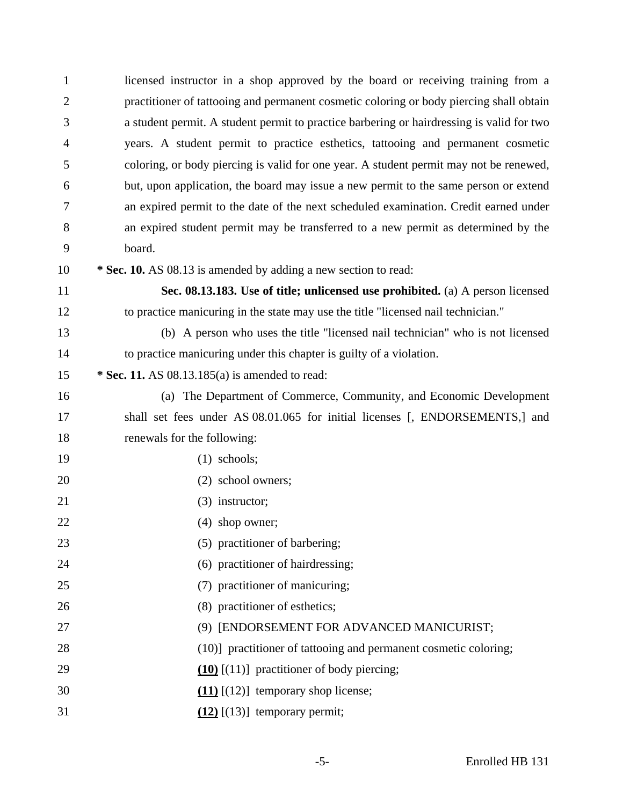| $\mathbf{1}$   | licensed instructor in a shop approved by the board or receiving training from a          |  |
|----------------|-------------------------------------------------------------------------------------------|--|
| $\overline{2}$ | practitioner of tattooing and permanent cosmetic coloring or body piercing shall obtain   |  |
| 3              | a student permit. A student permit to practice barbering or hairdressing is valid for two |  |
| $\overline{4}$ | years. A student permit to practice esthetics, tattooing and permanent cosmetic           |  |
| 5              | coloring, or body piercing is valid for one year. A student permit may not be renewed,    |  |
| 6              | but, upon application, the board may issue a new permit to the same person or extend      |  |
| 7              | an expired permit to the date of the next scheduled examination. Credit earned under      |  |
| 8              | an expired student permit may be transferred to a new permit as determined by the         |  |
| 9              | board.                                                                                    |  |
| 10             | * Sec. 10. AS 08.13 is amended by adding a new section to read:                           |  |
| 11             | Sec. 08.13.183. Use of title; unlicensed use prohibited. (a) A person licensed            |  |
| 12             | to practice manicuring in the state may use the title "licensed nail technician."         |  |
| 13             | (b) A person who uses the title "licensed nail technician" who is not licensed            |  |
| 14             | to practice manicuring under this chapter is guilty of a violation.                       |  |
| 15             | * Sec. 11. AS $08.13.185(a)$ is amended to read:                                          |  |
| 16             | (a) The Department of Commerce, Community, and Economic Development                       |  |
| 17             | shall set fees under AS 08.01.065 for initial licenses [, ENDORSEMENTS,] and              |  |
| 18             | renewals for the following:                                                               |  |
| 19             | $(1)$ schools;                                                                            |  |
| 20             | (2) school owners;                                                                        |  |
| 21             | $(3)$ instructor;                                                                         |  |
| 22             | $(4)$ shop owner;                                                                         |  |
| 23             | (5) practitioner of barbering;                                                            |  |
| 24             | (6) practitioner of hairdressing;                                                         |  |
| 25             | (7) practitioner of manicuring;                                                           |  |
| 26             | (8) practitioner of esthetics;                                                            |  |
| 27             | (9) [ENDORSEMENT FOR ADVANCED MANICURIST;                                                 |  |
| 28             | (10)] practitioner of tattooing and permanent cosmetic coloring;                          |  |
| 29             | $(10)$ [(11)] practitioner of body piercing;                                              |  |
| 30             | $(11)$ [(12)] temporary shop license;                                                     |  |
| 31             | $(12)$ [(13)] temporary permit;                                                           |  |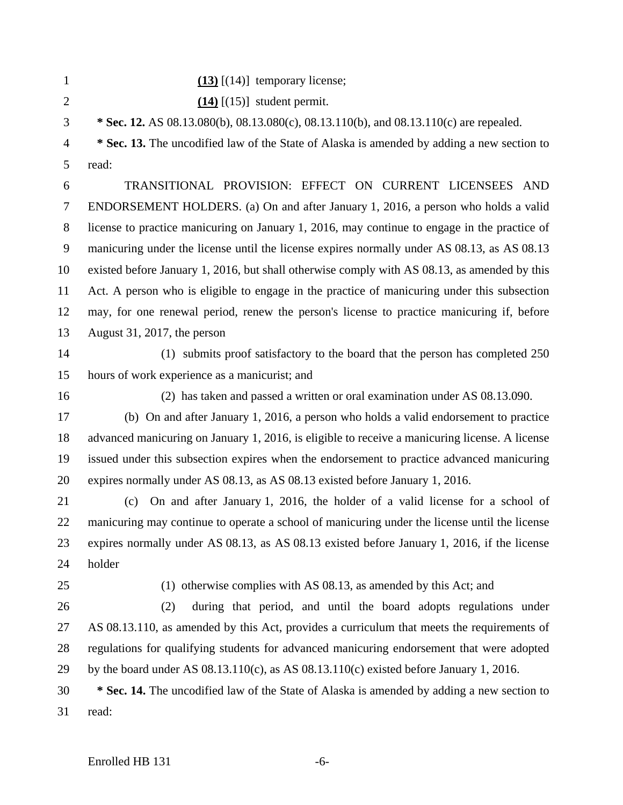| $(13)$ [(14)] temporary license; |
|----------------------------------|
| $(14)$ [(15)] student permit.    |

3 **\* Sec. 12.** AS 08.13.080(b), 08.13.080(c), 08.13.110(b), and 08.13.110(c) are repealed.

4 **\* Sec. 13.** The uncodified law of the State of Alaska is amended by adding a new section to 5 read:

6 TRANSITIONAL PROVISION: EFFECT ON CURRENT LICENSEES AND 7 ENDORSEMENT HOLDERS. (a) On and after January 1, 2016, a person who holds a valid 8 license to practice manicuring on January 1, 2016, may continue to engage in the practice of 9 manicuring under the license until the license expires normally under AS 08.13, as AS 08.13 10 existed before January 1, 2016, but shall otherwise comply with AS 08.13, as amended by this 11 Act. A person who is eligible to engage in the practice of manicuring under this subsection 12 may, for one renewal period, renew the person's license to practice manicuring if, before 13 August 31, 2017, the person

14 (1) submits proof satisfactory to the board that the person has completed 250 15 hours of work experience as a manicurist; and

16 (2) has taken and passed a written or oral examination under AS 08.13.090.

17 (b) On and after January 1, 2016, a person who holds a valid endorsement to practice 18 advanced manicuring on January 1, 2016, is eligible to receive a manicuring license. A license 19 issued under this subsection expires when the endorsement to practice advanced manicuring 20 expires normally under AS 08.13, as AS 08.13 existed before January 1, 2016.

21 (c) On and after January 1, 2016, the holder of a valid license for a school of 22 manicuring may continue to operate a school of manicuring under the license until the license 23 expires normally under AS 08.13, as AS 08.13 existed before January 1, 2016, if the license 24 holder

25 (1) otherwise complies with AS 08.13, as amended by this Act; and

26 (2) during that period, and until the board adopts regulations under 27 AS 08.13.110, as amended by this Act, provides a curriculum that meets the requirements of 28 regulations for qualifying students for advanced manicuring endorsement that were adopted 29 by the board under AS 08.13.110(c), as AS 08.13.110(c) existed before January 1, 2016.

30 **\* Sec. 14.** The uncodified law of the State of Alaska is amended by adding a new section to 31 read: